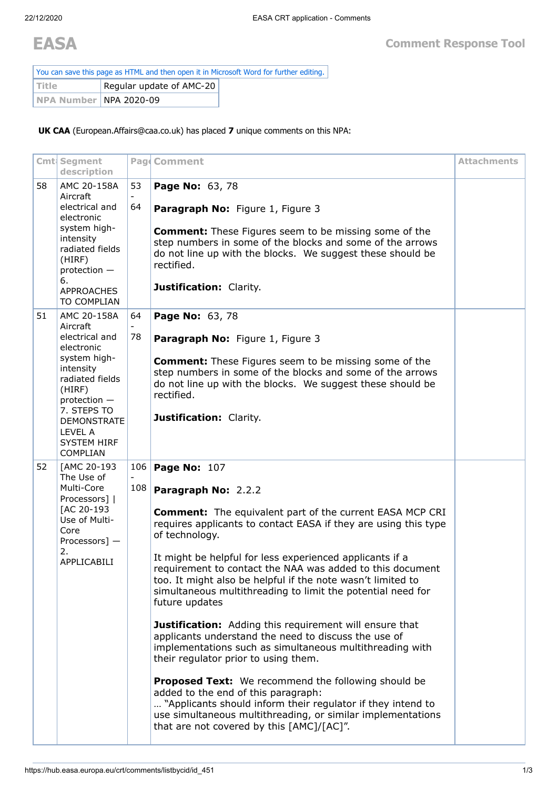You can save this page as HTML and then open it in Microsoft Word for further editing. Title **Regular update of AMC-20 NPA Number** NPA 2020-09

**UK CAA** (European.Affairs@caa.co.uk) has placed **7** unique comments on this NPA:

|    | Cmt Segment<br>description                                                                                                                                      |          | Pag Comment                                                                                                                                                                                                                                                                  | <b>Attachments</b> |
|----|-----------------------------------------------------------------------------------------------------------------------------------------------------------------|----------|------------------------------------------------------------------------------------------------------------------------------------------------------------------------------------------------------------------------------------------------------------------------------|--------------------|
| 58 | AMC 20-158A<br>Aircraft<br>electrical and<br>electronic                                                                                                         | 53<br>64 | Page No: 63, 78<br>Paragraph No: Figure 1, Figure 3                                                                                                                                                                                                                          |                    |
|    | system high-<br>intensity<br>radiated fields<br>(HIRF)<br>protection -<br>6.                                                                                    |          | <b>Comment:</b> These Figures seem to be missing some of the<br>step numbers in some of the blocks and some of the arrows<br>do not line up with the blocks. We suggest these should be<br>rectified.<br>Justification: Clarity.                                             |                    |
|    | <b>APPROACHES</b><br>TO COMPLIAN                                                                                                                                |          |                                                                                                                                                                                                                                                                              |                    |
| 51 | AMC 20-158A<br>Aircraft                                                                                                                                         | 64       | Page No: 63, 78                                                                                                                                                                                                                                                              |                    |
|    | electrical and<br>electronic                                                                                                                                    | 78       | Paragraph No: Figure 1, Figure 3                                                                                                                                                                                                                                             |                    |
|    | system high-<br>intensity<br>radiated fields<br>(HIRF)<br>protection -<br>7. STEPS TO<br><b>DEMONSTRATE</b><br>LEVEL A<br><b>SYSTEM HIRF</b><br><b>COMPLIAN</b> |          | <b>Comment:</b> These Figures seem to be missing some of the<br>step numbers in some of the blocks and some of the arrows<br>do not line up with the blocks. We suggest these should be<br>rectified.                                                                        |                    |
|    |                                                                                                                                                                 |          | Justification: Clarity.                                                                                                                                                                                                                                                      |                    |
| 52 | [AMC 20-193<br>The Use of<br>Multi-Core<br>Processors]  <br>[AC 20-193<br>Use of Multi-<br>Core<br>Processors] -                                                | 108      | 106 Page No: 107                                                                                                                                                                                                                                                             |                    |
|    |                                                                                                                                                                 |          | Paragraph No: 2.2.2                                                                                                                                                                                                                                                          |                    |
|    |                                                                                                                                                                 |          | <b>Comment:</b> The equivalent part of the current EASA MCP CRI<br>requires applicants to contact EASA if they are using this type<br>of technology.                                                                                                                         |                    |
|    | 2.<br>APPLICABILI                                                                                                                                               |          | It might be helpful for less experienced applicants if a<br>requirement to contact the NAA was added to this document<br>too. It might also be helpful if the note wasn't limited to<br>simultaneous multithreading to limit the potential need for<br>future updates        |                    |
|    |                                                                                                                                                                 |          | <b>Justification:</b> Adding this requirement will ensure that<br>applicants understand the need to discuss the use of<br>implementations such as simultaneous multithreading with<br>their regulator prior to using them.                                                   |                    |
|    |                                                                                                                                                                 |          | <b>Proposed Text:</b> We recommend the following should be<br>added to the end of this paragraph:<br>"Applicants should inform their regulator if they intend to<br>use simultaneous multithreading, or similar implementations<br>that are not covered by this [AMC]/[AC]". |                    |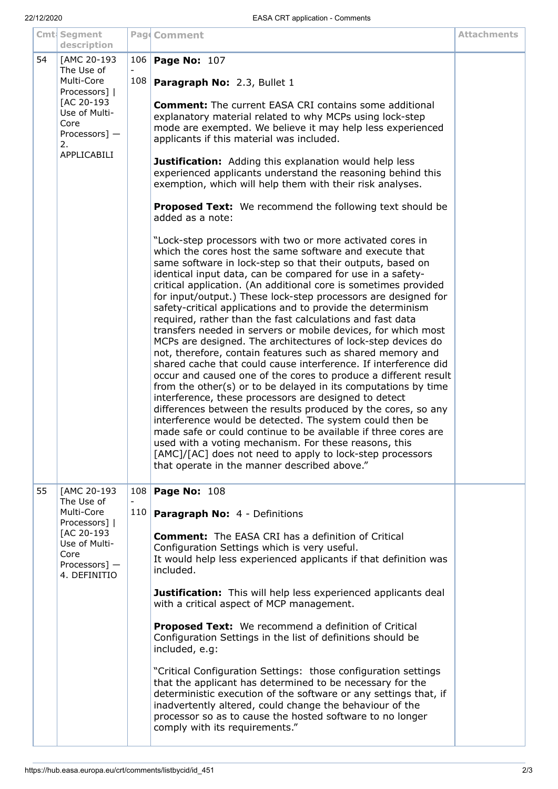|    | Cmt Segment                                                                                                                                          |            | Pag Comment                                                                                                                                                                                                                                                                                                                                                                                                                                                                                                                                                                                                                                                                                                                                                                                                                                                                                                                                                                                                                                                                                                                                                                                                                                                                                                                                                                                                                                                                                                                                                                                                                                                                                                                                                                                                                                                                                                                       | <b>Attachments</b> |
|----|------------------------------------------------------------------------------------------------------------------------------------------------------|------------|-----------------------------------------------------------------------------------------------------------------------------------------------------------------------------------------------------------------------------------------------------------------------------------------------------------------------------------------------------------------------------------------------------------------------------------------------------------------------------------------------------------------------------------------------------------------------------------------------------------------------------------------------------------------------------------------------------------------------------------------------------------------------------------------------------------------------------------------------------------------------------------------------------------------------------------------------------------------------------------------------------------------------------------------------------------------------------------------------------------------------------------------------------------------------------------------------------------------------------------------------------------------------------------------------------------------------------------------------------------------------------------------------------------------------------------------------------------------------------------------------------------------------------------------------------------------------------------------------------------------------------------------------------------------------------------------------------------------------------------------------------------------------------------------------------------------------------------------------------------------------------------------------------------------------------------|--------------------|
| 54 | description<br>[AMC 20-193<br>The Use of<br>Multi-Core<br>Processors]  <br>[AC 20-193<br>Use of Multi-<br>Core<br>Processors] -<br>2.<br>APPLICABILI | 106<br>108 | <b>Page No: 107</b><br>Paragraph No: 2.3, Bullet 1<br><b>Comment:</b> The current EASA CRI contains some additional<br>explanatory material related to why MCPs using lock-step<br>mode are exempted. We believe it may help less experienced<br>applicants if this material was included.<br>Justification: Adding this explanation would help less<br>experienced applicants understand the reasoning behind this<br>exemption, which will help them with their risk analyses.<br><b>Proposed Text:</b> We recommend the following text should be<br>added as a note:<br>"Lock-step processors with two or more activated cores in<br>which the cores host the same software and execute that<br>same software in lock-step so that their outputs, based on<br>identical input data, can be compared for use in a safety-<br>critical application. (An additional core is sometimes provided<br>for input/output.) These lock-step processors are designed for<br>safety-critical applications and to provide the determinism<br>required, rather than the fast calculations and fast data<br>transfers needed in servers or mobile devices, for which most<br>MCPs are designed. The architectures of lock-step devices do<br>not, therefore, contain features such as shared memory and<br>shared cache that could cause interference. If interference did<br>occur and caused one of the cores to produce a different result<br>from the other(s) or to be delayed in its computations by time<br>interference, these processors are designed to detect<br>differences between the results produced by the cores, so any<br>interference would be detected. The system could then be<br>made safe or could continue to be available if three cores are<br>used with a voting mechanism. For these reasons, this<br>[AMC]/[AC] does not need to apply to lock-step processors<br>that operate in the manner described above." |                    |
| 55 | [AMC 20-193<br>The Use of<br>Multi-Core<br>Processors]  <br>[AC 20-193<br>Use of Multi-<br>Core<br>Processors] -<br>4. DEFINITIO                     | 108<br>110 | <b>Page No: 108</b><br><b>Paragraph No: 4 - Definitions</b><br><b>Comment:</b> The EASA CRI has a definition of Critical<br>Configuration Settings which is very useful.<br>It would help less experienced applicants if that definition was<br>included.<br>Justification: This will help less experienced applicants deal<br>with a critical aspect of MCP management.<br>Proposed Text: We recommend a definition of Critical<br>Configuration Settings in the list of definitions should be<br>included, e.g:<br>"Critical Configuration Settings: those configuration settings<br>that the applicant has determined to be necessary for the<br>deterministic execution of the software or any settings that, if<br>inadvertently altered, could change the behaviour of the<br>processor so as to cause the hosted software to no longer<br>comply with its requirements."                                                                                                                                                                                                                                                                                                                                                                                                                                                                                                                                                                                                                                                                                                                                                                                                                                                                                                                                                                                                                                                   |                    |